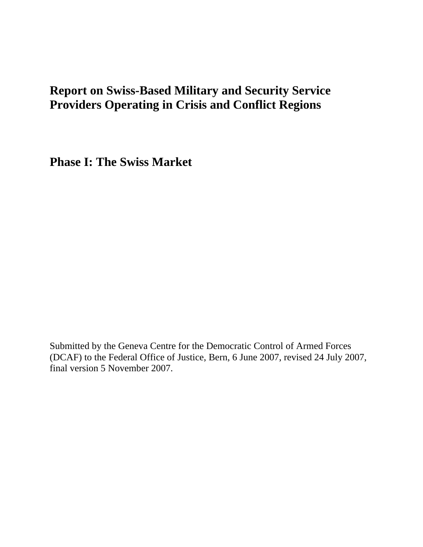# **Report on Swiss-Based Military and Security Service Providers Operating in Crisis and Conflict Regions**

**Phase I: The Swiss Market** 

Submitted by the Geneva Centre for the Democratic Control of Armed Forces (DCAF) to the Federal Office of Justice, Bern, 6 June 2007, revised 24 July 2007, final version 5 November 2007.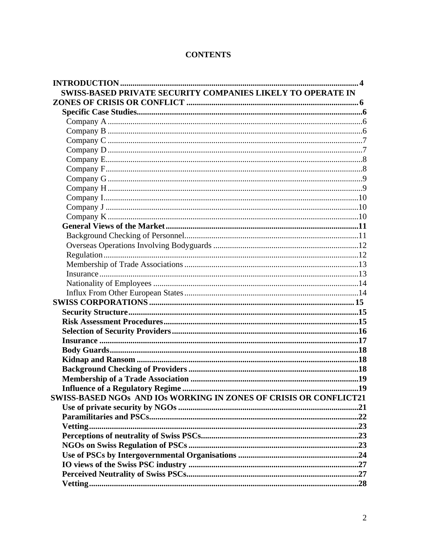| <b>CONTENTS</b> |
|-----------------|
|-----------------|

| <b>SWISS-BASED PRIVATE SECURITY COMPANIES LIKELY TO OPERATE IN</b> |  |
|--------------------------------------------------------------------|--|
|                                                                    |  |
|                                                                    |  |
|                                                                    |  |
|                                                                    |  |
|                                                                    |  |
|                                                                    |  |
|                                                                    |  |
|                                                                    |  |
|                                                                    |  |
|                                                                    |  |
|                                                                    |  |
|                                                                    |  |
|                                                                    |  |
|                                                                    |  |
|                                                                    |  |
|                                                                    |  |
|                                                                    |  |
|                                                                    |  |
|                                                                    |  |
|                                                                    |  |
|                                                                    |  |
|                                                                    |  |
|                                                                    |  |
|                                                                    |  |
|                                                                    |  |
|                                                                    |  |
|                                                                    |  |
|                                                                    |  |
|                                                                    |  |
|                                                                    |  |
|                                                                    |  |
| SWISS-BASED NGOs AND IOS WORKING IN ZONES OF CRISIS OR CONFLICT21  |  |
|                                                                    |  |
|                                                                    |  |
|                                                                    |  |
|                                                                    |  |
|                                                                    |  |
|                                                                    |  |
|                                                                    |  |
|                                                                    |  |
|                                                                    |  |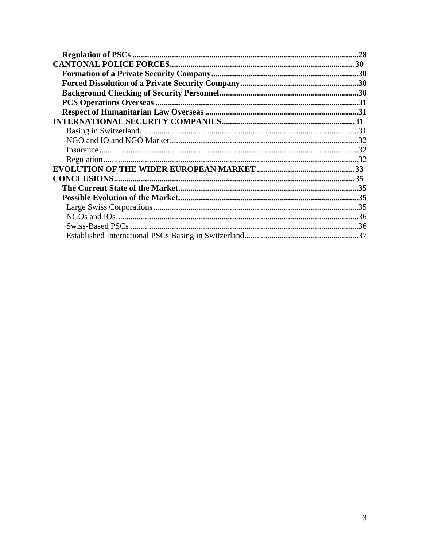| .28 |
|-----|
|     |
|     |
|     |
|     |
|     |
|     |
|     |
|     |
|     |
|     |
|     |
|     |
|     |
|     |
|     |
|     |
|     |
|     |
|     |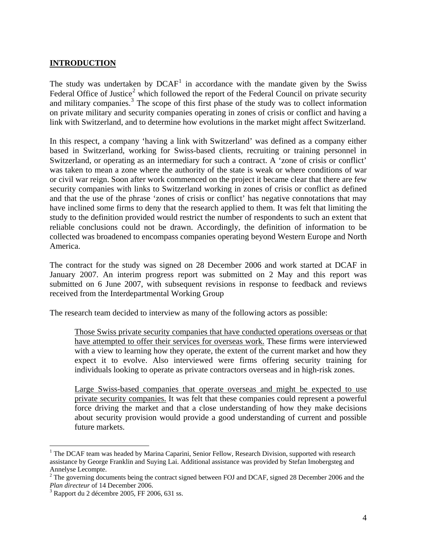## <span id="page-3-0"></span>**INTRODUCTION**

The study was undertaken by  $DCAF<sup>1</sup>$  $DCAF<sup>1</sup>$  $DCAF<sup>1</sup>$  in accordance with the mandate given by the Swiss Federal Office of Justice<sup>[2](#page-3-2)</sup> which followed the report of the Federal Council on private security and military companies.<sup>[3](#page-3-3)</sup> The scope of this first phase of the study was to collect information on private military and security companies operating in zones of crisis or conflict and having a link with Switzerland, and to determine how evolutions in the market might affect Switzerland.

In this respect, a company 'having a link with Switzerland' was defined as a company either based in Switzerland, working for Swiss-based clients, recruiting or training personnel in Switzerland, or operating as an intermediary for such a contract. A 'zone of crisis or conflict' was taken to mean a zone where the authority of the state is weak or where conditions of war or civil war reign. Soon after work commenced on the project it became clear that there are few security companies with links to Switzerland working in zones of crisis or conflict as defined and that the use of the phrase 'zones of crisis or conflict' has negative connotations that may have inclined some firms to deny that the research applied to them. It was felt that limiting the study to the definition provided would restrict the number of respondents to such an extent that reliable conclusions could not be drawn. Accordingly, the definition of information to be collected was broadened to encompass companies operating beyond Western Europe and North America.

The contract for the study was signed on 28 December 2006 and work started at DCAF in January 2007. An interim progress report was submitted on 2 May and this report was submitted on 6 June 2007, with subsequent revisions in response to feedback and reviews received from the Interdepartmental Working Group

The research team decided to interview as many of the following actors as possible:

Those Swiss private security companies that have conducted operations overseas or that have attempted to offer their services for overseas work. These firms were interviewed with a view to learning how they operate, the extent of the current market and how they expect it to evolve. Also interviewed were firms offering security training for individuals looking to operate as private contractors overseas and in high-risk zones.

Large Swiss-based companies that operate overseas and might be expected to use private security companies. It was felt that these companies could represent a powerful force driving the market and that a close understanding of how they make decisions about security provision would provide a good understanding of current and possible future markets.

 $\overline{a}$ 

<span id="page-3-1"></span><sup>&</sup>lt;sup>1</sup> The DCAF team was headed by Marina Caparini, Senior Fellow, Research Division, supported with research assistance by George Franklin and Suying Lai. Additional assistance was provided by Stefan Imobergsteg and Annelyse Lecompte.

<span id="page-3-2"></span> $2^2$  The governing documents being the contract signed between FOJ and DCAF, signed 28 December 2006 and the Plan directeur of 14 December 2006.

<span id="page-3-3"></span> $3$  Rapport du 2 décembre 2005, FF 2006, 631 ss.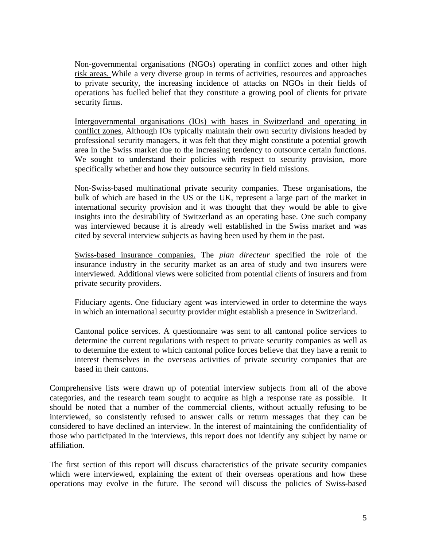Non-governmental organisations (NGOs) operating in conflict zones and other high risk areas. While a very diverse group in terms of activities, resources and approaches to private security, the increasing incidence of attacks on NGOs in their fields of operations has fuelled belief that they constitute a growing pool of clients for private security firms.

Intergovernmental organisations (IOs) with bases in Switzerland and operating in conflict zones. Although IOs typically maintain their own security divisions headed by professional security managers, it was felt that they might constitute a potential growth area in the Swiss market due to the increasing tendency to outsource certain functions. We sought to understand their policies with respect to security provision, more specifically whether and how they outsource security in field missions.

Non-Swiss-based multinational private security companies. These organisations, the bulk of which are based in the US or the UK, represent a large part of the market in international security provision and it was thought that they would be able to give insights into the desirability of Switzerland as an operating base. One such company was interviewed because it is already well established in the Swiss market and was cited by several interview subjects as having been used by them in the past.

Swiss-based insurance companies. The *plan directeur* specified the role of the insurance industry in the security market as an area of study and two insurers were interviewed. Additional views were solicited from potential clients of insurers and from private security providers.

Fiduciary agents. One fiduciary agent was interviewed in order to determine the ways in which an international security provider might establish a presence in Switzerland.

Cantonal police services. A questionnaire was sent to all cantonal police services to determine the current regulations with respect to private security companies as well as to determine the extent to which cantonal police forces believe that they have a remit to interest themselves in the overseas activities of private security companies that are based in their cantons.

Comprehensive lists were drawn up of potential interview subjects from all of the above categories, and the research team sought to acquire as high a response rate as possible. It should be noted that a number of the commercial clients, without actually refusing to be interviewed, so consistently refused to answer calls or return messages that they can be considered to have declined an interview. In the interest of maintaining the confidentiality of those who participated in the interviews, this report does not identify any subject by name or affiliation.

The first section of this report will discuss characteristics of the private security companies which were interviewed, explaining the extent of their overseas operations and how these operations may evolve in the future. The second will discuss the policies of Swiss-based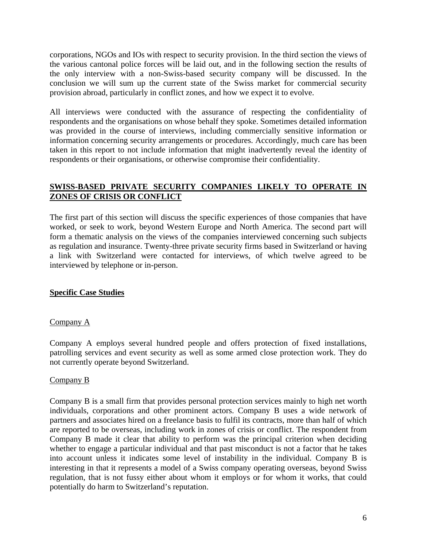<span id="page-5-0"></span>corporations, NGOs and IOs with respect to security provision. In the third section the views of the various cantonal police forces will be laid out, and in the following section the results of the only interview with a non-Swiss-based security company will be discussed. In the conclusion we will sum up the current state of the Swiss market for commercial security provision abroad, particularly in conflict zones, and how we expect it to evolve.

All interviews were conducted with the assurance of respecting the confidentiality of respondents and the organisations on whose behalf they spoke. Sometimes detailed information was provided in the course of interviews, including commercially sensitive information or information concerning security arrangements or procedures. Accordingly, much care has been taken in this report to not include information that might inadvertently reveal the identity of respondents or their organisations, or otherwise compromise their confidentiality.

## **SWISS-BASED PRIVATE SECURITY COMPANIES LIKELY TO OPERATE IN ZONES OF CRISIS OR CONFLICT**

The first part of this section will discuss the specific experiences of those companies that have worked, or seek to work, beyond Western Europe and North America. The second part will form a thematic analysis on the views of the companies interviewed concerning such subjects as regulation and insurance. Twenty-three private security firms based in Switzerland or having a link with Switzerland were contacted for interviews, of which twelve agreed to be interviewed by telephone or in-person.

#### **Specific Case Studies**

#### Company A

Company A employs several hundred people and offers protection of fixed installations, patrolling services and event security as well as some armed close protection work. They do not currently operate beyond Switzerland.

#### Company B

Company B is a small firm that provides personal protection services mainly to high net worth individuals, corporations and other prominent actors. Company B uses a wide network of partners and associates hired on a freelance basis to fulfil its contracts, more than half of which are reported to be overseas, including work in zones of crisis or conflict. The respondent from Company B made it clear that ability to perform was the principal criterion when deciding whether to engage a particular individual and that past misconduct is not a factor that he takes into account unless it indicates some level of instability in the individual. Company B is interesting in that it represents a model of a Swiss company operating overseas, beyond Swiss regulation, that is not fussy either about whom it employs or for whom it works, that could potentially do harm to Switzerland's reputation.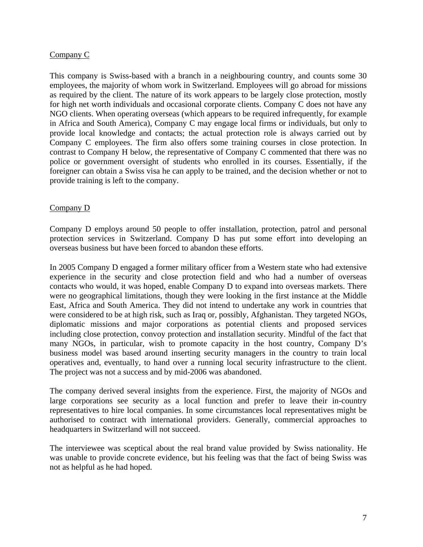## <span id="page-6-0"></span>Company C

This company is Swiss-based with a branch in a neighbouring country, and counts some 30 employees, the majority of whom work in Switzerland. Employees will go abroad for missions as required by the client. The nature of its work appears to be largely close protection, mostly for high net worth individuals and occasional corporate clients. Company C does not have any NGO clients. When operating overseas (which appears to be required infrequently, for example in Africa and South America), Company C may engage local firms or individuals, but only to provide local knowledge and contacts; the actual protection role is always carried out by Company C employees. The firm also offers some training courses in close protection. In contrast to Company H below, the representative of Company C commented that there was no police or government oversight of students who enrolled in its courses. Essentially, if the foreigner can obtain a Swiss visa he can apply to be trained, and the decision whether or not to provide training is left to the company.

#### Company D

Company D employs around 50 people to offer installation, protection, patrol and personal protection services in Switzerland. Company D has put some effort into developing an overseas business but have been forced to abandon these efforts.

In 2005 Company D engaged a former military officer from a Western state who had extensive experience in the security and close protection field and who had a number of overseas contacts who would, it was hoped, enable Company D to expand into overseas markets. There were no geographical limitations, though they were looking in the first instance at the Middle East, Africa and South America. They did not intend to undertake any work in countries that were considered to be at high risk, such as Iraq or, possibly, Afghanistan. They targeted NGOs, diplomatic missions and major corporations as potential clients and proposed services including close protection, convoy protection and installation security. Mindful of the fact that many NGOs, in particular, wish to promote capacity in the host country, Company D's business model was based around inserting security managers in the country to train local operatives and, eventually, to hand over a running local security infrastructure to the client. The project was not a success and by mid-2006 was abandoned.

The company derived several insights from the experience. First, the majority of NGOs and large corporations see security as a local function and prefer to leave their in-country representatives to hire local companies. In some circumstances local representatives might be authorised to contract with international providers. Generally, commercial approaches to headquarters in Switzerland will not succeed.

The interviewee was sceptical about the real brand value provided by Swiss nationality. He was unable to provide concrete evidence, but his feeling was that the fact of being Swiss was not as helpful as he had hoped.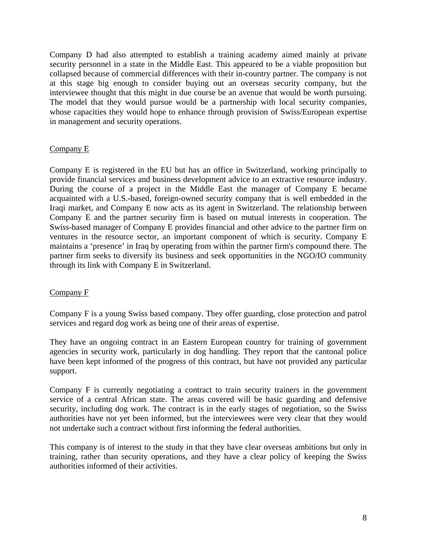<span id="page-7-0"></span>Company D had also attempted to establish a training academy aimed mainly at private security personnel in a state in the Middle East. This appeared to be a viable proposition but collapsed because of commercial differences with their in-country partner. The company is not at this stage big enough to consider buying out an overseas security company, but the interviewee thought that this might in due course be an avenue that would be worth pursuing. The model that they would pursue would be a partnership with local security companies, whose capacities they would hope to enhance through provision of Swiss/European expertise in management and security operations.

## Company E

Company E is registered in the EU but has an office in Switzerland, working principally to provide financial services and business development advice to an extractive resource industry. During the course of a project in the Middle East the manager of Company E became acquainted with a U.S.-based, foreign-owned security company that is well embedded in the Iraqi market, and Company E now acts as its agent in Switzerland. The relationship between Company E and the partner security firm is based on mutual interests in cooperation. The Swiss-based manager of Company E provides financial and other advice to the partner firm on ventures in the resource sector, an important component of which is security. Company E maintains a 'presence' in Iraq by operating from within the partner firm's compound there. The partner firm seeks to diversify its business and seek opportunities in the NGO/IO community through its link with Company E in Switzerland.

#### Company F

Company F is a young Swiss based company. They offer guarding, close protection and patrol services and regard dog work as being one of their areas of expertise.

They have an ongoing contract in an Eastern European country for training of government agencies in security work, particularly in dog handling. They report that the cantonal police have been kept informed of the progress of this contract, but have not provided any particular support.

Company F is currently negotiating a contract to train security trainers in the government service of a central African state. The areas covered will be basic guarding and defensive security, including dog work. The contract is in the early stages of negotiation, so the Swiss authorities have not yet been informed, but the interviewees were very clear that they would not undertake such a contract without first informing the federal authorities.

This company is of interest to the study in that they have clear overseas ambitions but only in training, rather than security operations, and they have a clear policy of keeping the Swiss authorities informed of their activities.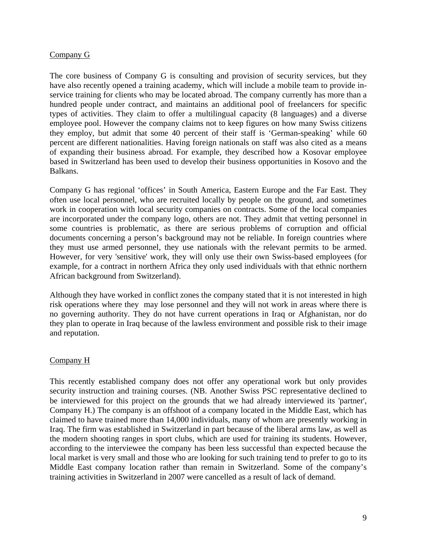## <span id="page-8-0"></span>Company G

The core business of Company G is consulting and provision of security services, but they have also recently opened a training academy, which will include a mobile team to provide inservice training for clients who may be located abroad. The company currently has more than a hundred people under contract, and maintains an additional pool of freelancers for specific types of activities. They claim to offer a multilingual capacity (8 languages) and a diverse employee pool. However the company claims not to keep figures on how many Swiss citizens they employ, but admit that some 40 percent of their staff is 'German-speaking' while 60 percent are different nationalities. Having foreign nationals on staff was also cited as a means of expanding their business abroad. For example, they described how a Kosovar employee based in Switzerland has been used to develop their business opportunities in Kosovo and the Balkans.

Company G has regional 'offices' in South America, Eastern Europe and the Far East. They often use local personnel, who are recruited locally by people on the ground, and sometimes work in cooperation with local security companies on contracts. Some of the local companies are incorporated under the company logo, others are not. They admit that vetting personnel in some countries is problematic, as there are serious problems of corruption and official documents concerning a person's background may not be reliable. In foreign countries where they must use armed personnel, they use nationals with the relevant permits to be armed. However, for very 'sensitive' work, they will only use their own Swiss-based employees (for example, for a contract in northern Africa they only used individuals with that ethnic northern African background from Switzerland).

Although they have worked in conflict zones the company stated that it is not interested in high risk operations where they may lose personnel and they will not work in areas where there is no governing authority. They do not have current operations in Iraq or Afghanistan, nor do they plan to operate in Iraq because of the lawless environment and possible risk to their image and reputation.

#### Company H

This recently established company does not offer any operational work but only provides security instruction and training courses. (NB. Another Swiss PSC representative declined to be interviewed for this project on the grounds that we had already interviewed its 'partner', Company H.) The company is an offshoot of a company located in the Middle East, which has claimed to have trained more than 14,000 individuals, many of whom are presently working in Iraq. The firm was established in Switzerland in part because of the liberal arms law, as well as the modern shooting ranges in sport clubs, which are used for training its students. However, according to the interviewee the company has been less successful than expected because the local market is very small and those who are looking for such training tend to prefer to go to its Middle East company location rather than remain in Switzerland. Some of the company's training activities in Switzerland in 2007 were cancelled as a result of lack of demand.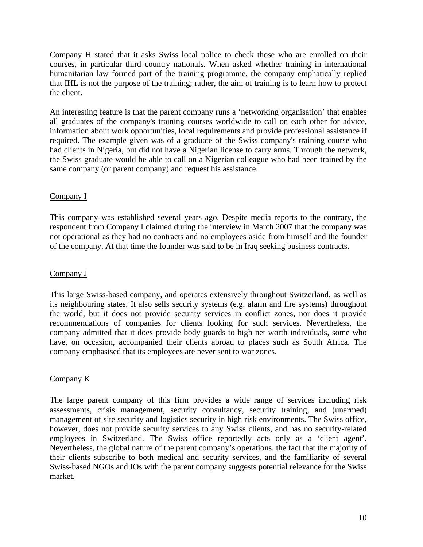<span id="page-9-0"></span>Company H stated that it asks Swiss local police to check those who are enrolled on their courses, in particular third country nationals. When asked whether training in international humanitarian law formed part of the training programme, the company emphatically replied that IHL is not the purpose of the training; rather, the aim of training is to learn how to protect the client.

An interesting feature is that the parent company runs a 'networking organisation' that enables all graduates of the company's training courses worldwide to call on each other for advice, information about work opportunities, local requirements and provide professional assistance if required. The example given was of a graduate of the Swiss company's training course who had clients in Nigeria, but did not have a Nigerian license to carry arms. Through the network, the Swiss graduate would be able to call on a Nigerian colleague who had been trained by the same company (or parent company) and request his assistance.

# Company I

This company was established several years ago. Despite media reports to the contrary, the respondent from Company I claimed during the interview in March 2007 that the company was not operational as they had no contracts and no employees aside from himself and the founder of the company. At that time the founder was said to be in Iraq seeking business contracts.

# Company J

This large Swiss-based company, and operates extensively throughout Switzerland, as well as its neighbouring states. It also sells security systems (e.g. alarm and fire systems) throughout the world, but it does not provide security services in conflict zones, nor does it provide recommendations of companies for clients looking for such services. Nevertheless, the company admitted that it does provide body guards to high net worth individuals, some who have, on occasion, accompanied their clients abroad to places such as South Africa. The company emphasised that its employees are never sent to war zones.

## Company K

The large parent company of this firm provides a wide range of services including risk assessments, crisis management, security consultancy, security training, and (unarmed) management of site security and logistics security in high risk environments. The Swiss office, however, does not provide security services to any Swiss clients, and has no security-related employees in Switzerland. The Swiss office reportedly acts only as a 'client agent'. Nevertheless, the global nature of the parent company's operations, the fact that the majority of their clients subscribe to both medical and security services, and the familiarity of several Swiss-based NGOs and IOs with the parent company suggests potential relevance for the Swiss market.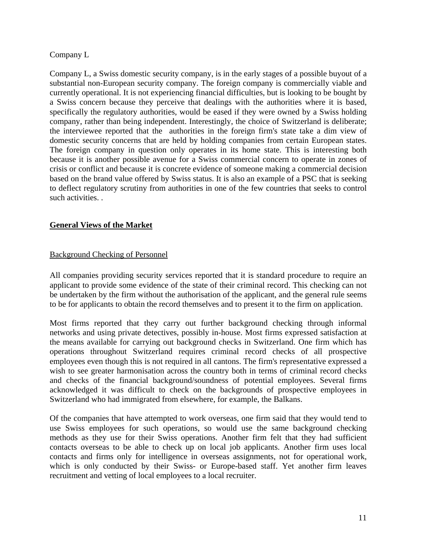## <span id="page-10-0"></span>Company L

Company L, a Swiss domestic security company, is in the early stages of a possible buyout of a substantial non-European security company. The foreign company is commercially viable and currently operational. It is not experiencing financial difficulties, but is looking to be bought by a Swiss concern because they perceive that dealings with the authorities where it is based, specifically the regulatory authorities, would be eased if they were owned by a Swiss holding company, rather than being independent. Interestingly, the choice of Switzerland is deliberate; the interviewee reported that the authorities in the foreign firm's state take a dim view of domestic security concerns that are held by holding companies from certain European states. The foreign company in question only operates in its home state. This is interesting both because it is another possible avenue for a Swiss commercial concern to operate in zones of crisis or conflict and because it is concrete evidence of someone making a commercial decision based on the brand value offered by Swiss status. It is also an example of a PSC that is seeking to deflect regulatory scrutiny from authorities in one of the few countries that seeks to control such activities. .

## **General Views of the Market**

# Background Checking of Personnel

All companies providing security services reported that it is standard procedure to require an applicant to provide some evidence of the state of their criminal record. This checking can not be undertaken by the firm without the authorisation of the applicant, and the general rule seems to be for applicants to obtain the record themselves and to present it to the firm on application.

Most firms reported that they carry out further background checking through informal networks and using private detectives, possibly in-house. Most firms expressed satisfaction at the means available for carrying out background checks in Switzerland. One firm which has operations throughout Switzerland requires criminal record checks of all prospective employees even though this is not required in all cantons. The firm's representative expressed a wish to see greater harmonisation across the country both in terms of criminal record checks and checks of the financial background/soundness of potential employees. Several firms acknowledged it was difficult to check on the backgrounds of prospective employees in Switzerland who had immigrated from elsewhere, for example, the Balkans.

Of the companies that have attempted to work overseas, one firm said that they would tend to use Swiss employees for such operations, so would use the same background checking methods as they use for their Swiss operations. Another firm felt that they had sufficient contacts overseas to be able to check up on local job applicants. Another firm uses local contacts and firms only for intelligence in overseas assignments, not for operational work, which is only conducted by their Swiss- or Europe-based staff. Yet another firm leaves recruitment and vetting of local employees to a local recruiter.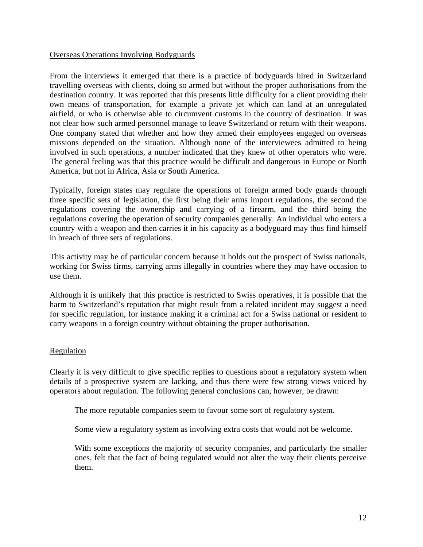#### <span id="page-11-0"></span>Overseas Operations Involving Bodyguards

From the interviews it emerged that there is a practice of bodyguards hired in Switzerland travelling overseas with clients, doing so armed but without the proper authorisations from the destination country. It was reported that this presents little difficulty for a client providing their own means of transportation, for example a private jet which can land at an unregulated airfield, or who is otherwise able to circumvent customs in the country of destination. It was not clear how such armed personnel manage to leave Switzerland or return with their weapons. One company stated that whether and how they armed their employees engaged on overseas missions depended on the situation. Although none of the interviewees admitted to being involved in such operations, a number indicated that they knew of other operators who were. The general feeling was that this practice would be difficult and dangerous in Europe or North America, but not in Africa, Asia or South America.

Typically, foreign states may regulate the operations of foreign armed body guards through three specific sets of legislation, the first being their arms import regulations, the second the regulations covering the ownership and carrying of a firearm, and the third being the regulations covering the operation of security companies generally. An individual who enters a country with a weapon and then carries it in his capacity as a bodyguard may thus find himself in breach of three sets of regulations.

This activity may be of particular concern because it holds out the prospect of Swiss nationals, working for Swiss firms, carrying arms illegally in countries where they may have occasion to use them.

Although it is unlikely that this practice is restricted to Swiss operatives, it is possible that the harm to Switzerland's reputation that might result from a related incident may suggest a need for specific regulation, for instance making it a criminal act for a Swiss national or resident to carry weapons in a foreign country without obtaining the proper authorisation.

#### Regulation

Clearly it is very difficult to give specific replies to questions about a regulatory system when details of a prospective system are lacking, and thus there were few strong views voiced by operators about regulation. The following general conclusions can, however, be drawn:

The more reputable companies seem to favour some sort of regulatory system.

Some view a regulatory system as involving extra costs that would not be welcome.

With some exceptions the majority of security companies, and particularly the smaller ones, felt that the fact of being regulated would not alter the way their clients perceive them.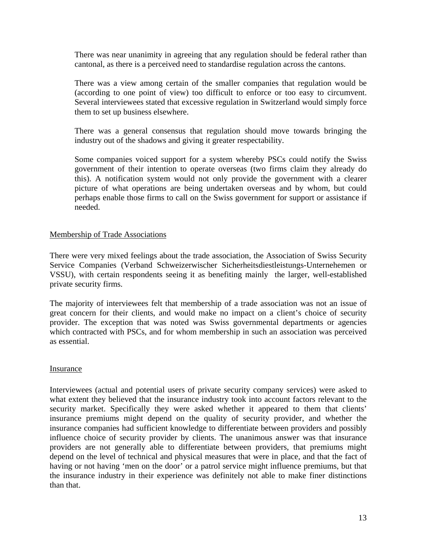<span id="page-12-0"></span>There was near unanimity in agreeing that any regulation should be federal rather than cantonal, as there is a perceived need to standardise regulation across the cantons.

There was a view among certain of the smaller companies that regulation would be (according to one point of view) too difficult to enforce or too easy to circumvent. Several interviewees stated that excessive regulation in Switzerland would simply force them to set up business elsewhere.

There was a general consensus that regulation should move towards bringing the industry out of the shadows and giving it greater respectability.

Some companies voiced support for a system whereby PSCs could notify the Swiss government of their intention to operate overseas (two firms claim they already do this). A notification system would not only provide the government with a clearer picture of what operations are being undertaken overseas and by whom, but could perhaps enable those firms to call on the Swiss government for support or assistance if needed.

#### Membership of Trade Associations

There were very mixed feelings about the trade association, the Association of Swiss Security Service Companies (Verband Schweizerwischer Sicherheitsdiestleistungs-Unternehemen or VSSU), with certain respondents seeing it as benefiting mainly the larger, well-established private security firms.

The majority of interviewees felt that membership of a trade association was not an issue of great concern for their clients, and would make no impact on a client's choice of security provider. The exception that was noted was Swiss governmental departments or agencies which contracted with PSCs, and for whom membership in such an association was perceived as essential.

#### Insurance

Interviewees (actual and potential users of private security company services) were asked to what extent they believed that the insurance industry took into account factors relevant to the security market. Specifically they were asked whether it appeared to them that clients' insurance premiums might depend on the quality of security provider, and whether the insurance companies had sufficient knowledge to differentiate between providers and possibly influence choice of security provider by clients. The unanimous answer was that insurance providers are not generally able to differentiate between providers, that premiums might depend on the level of technical and physical measures that were in place, and that the fact of having or not having 'men on the door' or a patrol service might influence premiums, but that the insurance industry in their experience was definitely not able to make finer distinctions than that.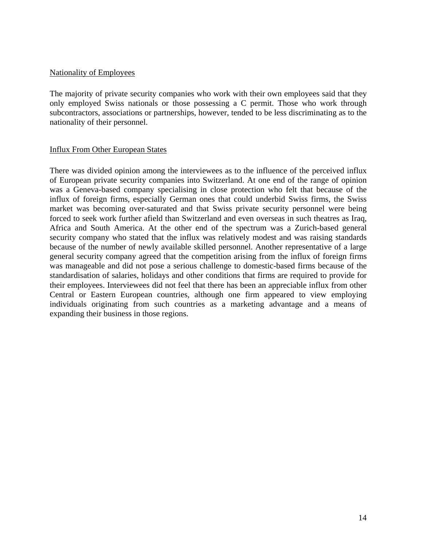## <span id="page-13-0"></span>Nationality of Employees

The majority of private security companies who work with their own employees said that they only employed Swiss nationals or those possessing a C permit. Those who work through subcontractors, associations or partnerships, however, tended to be less discriminating as to the nationality of their personnel.

## Influx From Other European States

There was divided opinion among the interviewees as to the influence of the perceived influx of European private security companies into Switzerland. At one end of the range of opinion was a Geneva-based company specialising in close protection who felt that because of the influx of foreign firms, especially German ones that could underbid Swiss firms, the Swiss market was becoming over-saturated and that Swiss private security personnel were being forced to seek work further afield than Switzerland and even overseas in such theatres as Iraq, Africa and South America. At the other end of the spectrum was a Zurich-based general security company who stated that the influx was relatively modest and was raising standards because of the number of newly available skilled personnel. Another representative of a large general security company agreed that the competition arising from the influx of foreign firms was manageable and did not pose a serious challenge to domestic-based firms because of the standardisation of salaries, holidays and other conditions that firms are required to provide for their employees. Interviewees did not feel that there has been an appreciable influx from other Central or Eastern European countries, although one firm appeared to view employing individuals originating from such countries as a marketing advantage and a means of expanding their business in those regions.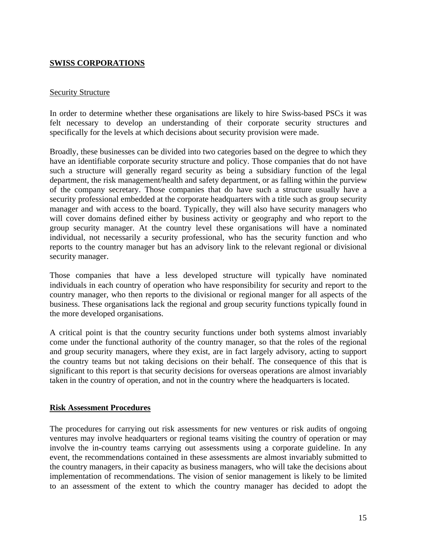## <span id="page-14-0"></span>**SWISS CORPORATIONS**

#### **Security Structure**

In order to determine whether these organisations are likely to hire Swiss-based PSCs it was felt necessary to develop an understanding of their corporate security structures and specifically for the levels at which decisions about security provision were made.

Broadly, these businesses can be divided into two categories based on the degree to which they have an identifiable corporate security structure and policy. Those companies that do not have such a structure will generally regard security as being a subsidiary function of the legal department, the risk management/health and safety department, or as falling within the purview of the company secretary. Those companies that do have such a structure usually have a security professional embedded at the corporate headquarters with a title such as group security manager and with access to the board. Typically, they will also have security managers who will cover domains defined either by business activity or geography and who report to the group security manager. At the country level these organisations will have a nominated individual, not necessarily a security professional, who has the security function and who reports to the country manager but has an advisory link to the relevant regional or divisional security manager.

Those companies that have a less developed structure will typically have nominated individuals in each country of operation who have responsibility for security and report to the country manager, who then reports to the divisional or regional manger for all aspects of the business. These organisations lack the regional and group security functions typically found in the more developed organisations.

A critical point is that the country security functions under both systems almost invariably come under the functional authority of the country manager, so that the roles of the regional and group security managers, where they exist, are in fact largely advisory, acting to support the country teams but not taking decisions on their behalf. The consequence of this that is significant to this report is that security decisions for overseas operations are almost invariably taken in the country of operation, and not in the country where the headquarters is located.

#### **Risk Assessment Procedures**

The procedures for carrying out risk assessments for new ventures or risk audits of ongoing ventures may involve headquarters or regional teams visiting the country of operation or may involve the in-country teams carrying out assessments using a corporate guideline. In any event, the recommendations contained in these assessments are almost invariably submitted to the country managers, in their capacity as business managers, who will take the decisions about implementation of recommendations. The vision of senior management is likely to be limited to an assessment of the extent to which the country manager has decided to adopt the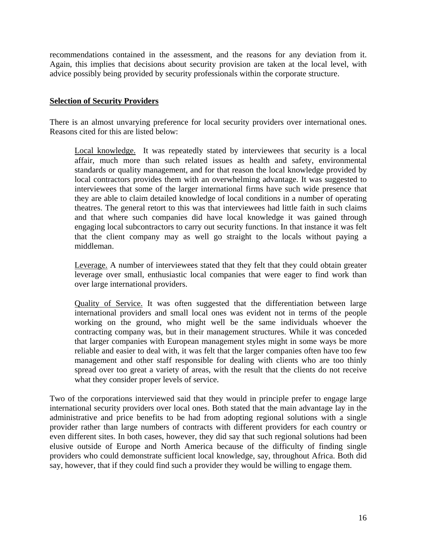<span id="page-15-0"></span>recommendations contained in the assessment, and the reasons for any deviation from it. Again, this implies that decisions about security provision are taken at the local level, with advice possibly being provided by security professionals within the corporate structure.

## **Selection of Security Providers**

There is an almost unvarying preference for local security providers over international ones. Reasons cited for this are listed below:

Local knowledge. It was repeatedly stated by interviewees that security is a local affair, much more than such related issues as health and safety, environmental standards or quality management, and for that reason the local knowledge provided by local contractors provides them with an overwhelming advantage. It was suggested to interviewees that some of the larger international firms have such wide presence that they are able to claim detailed knowledge of local conditions in a number of operating theatres. The general retort to this was that interviewees had little faith in such claims and that where such companies did have local knowledge it was gained through engaging local subcontractors to carry out security functions. In that instance it was felt that the client company may as well go straight to the locals without paying a middleman.

Leverage. A number of interviewees stated that they felt that they could obtain greater leverage over small, enthusiastic local companies that were eager to find work than over large international providers.

Quality of Service. It was often suggested that the differentiation between large international providers and small local ones was evident not in terms of the people working on the ground, who might well be the same individuals whoever the contracting company was, but in their management structures. While it was conceded that larger companies with European management styles might in some ways be more reliable and easier to deal with, it was felt that the larger companies often have too few management and other staff responsible for dealing with clients who are too thinly spread over too great a variety of areas, with the result that the clients do not receive what they consider proper levels of service.

Two of the corporations interviewed said that they would in principle prefer to engage large international security providers over local ones. Both stated that the main advantage lay in the administrative and price benefits to be had from adopting regional solutions with a single provider rather than large numbers of contracts with different providers for each country or even different sites. In both cases, however, they did say that such regional solutions had been elusive outside of Europe and North America because of the difficulty of finding single providers who could demonstrate sufficient local knowledge, say, throughout Africa. Both did say, however, that if they could find such a provider they would be willing to engage them.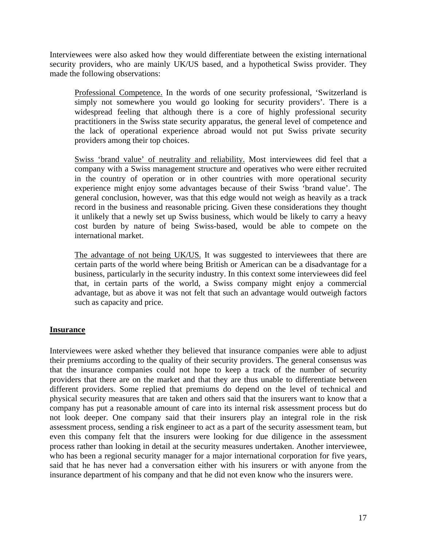<span id="page-16-0"></span>Interviewees were also asked how they would differentiate between the existing international security providers, who are mainly UK/US based, and a hypothetical Swiss provider. They made the following observations:

Professional Competence. In the words of one security professional, 'Switzerland is simply not somewhere you would go looking for security providers'. There is a widespread feeling that although there is a core of highly professional security practitioners in the Swiss state security apparatus, the general level of competence and the lack of operational experience abroad would not put Swiss private security providers among their top choices.

Swiss 'brand value' of neutrality and reliability. Most interviewees did feel that a company with a Swiss management structure and operatives who were either recruited in the country of operation or in other countries with more operational security experience might enjoy some advantages because of their Swiss 'brand value'. The general conclusion, however, was that this edge would not weigh as heavily as a track record in the business and reasonable pricing. Given these considerations they thought it unlikely that a newly set up Swiss business, which would be likely to carry a heavy cost burden by nature of being Swiss-based, would be able to compete on the international market.

The advantage of not being UK/US. It was suggested to interviewees that there are certain parts of the world where being British or American can be a disadvantage for a business, particularly in the security industry. In this context some interviewees did feel that, in certain parts of the world, a Swiss company might enjoy a commercial advantage, but as above it was not felt that such an advantage would outweigh factors such as capacity and price.

#### **Insurance**

Interviewees were asked whether they believed that insurance companies were able to adjust their premiums according to the quality of their security providers. The general consensus was that the insurance companies could not hope to keep a track of the number of security providers that there are on the market and that they are thus unable to differentiate between different providers. Some replied that premiums do depend on the level of technical and physical security measures that are taken and others said that the insurers want to know that a company has put a reasonable amount of care into its internal risk assessment process but do not look deeper. One company said that their insurers play an integral role in the risk assessment process, sending a risk engineer to act as a part of the security assessment team, but even this company felt that the insurers were looking for due diligence in the assessment process rather than looking in detail at the security measures undertaken. Another interviewee, who has been a regional security manager for a major international corporation for five years, said that he has never had a conversation either with his insurers or with anyone from the insurance department of his company and that he did not even know who the insurers were.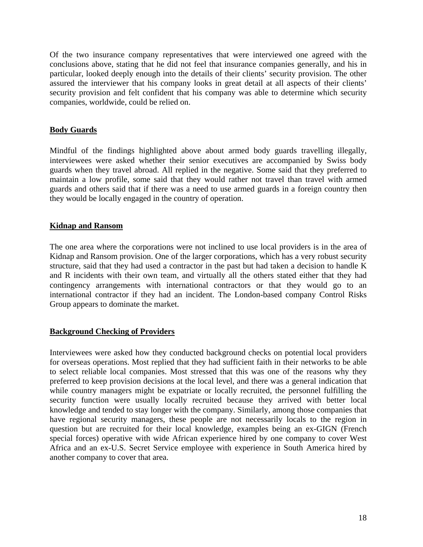<span id="page-17-0"></span>Of the two insurance company representatives that were interviewed one agreed with the conclusions above, stating that he did not feel that insurance companies generally, and his in particular, looked deeply enough into the details of their clients' security provision. The other assured the interviewer that his company looks in great detail at all aspects of their clients' security provision and felt confident that his company was able to determine which security companies, worldwide, could be relied on.

#### **Body Guards**

Mindful of the findings highlighted above about armed body guards travelling illegally, interviewees were asked whether their senior executives are accompanied by Swiss body guards when they travel abroad. All replied in the negative. Some said that they preferred to maintain a low profile, some said that they would rather not travel than travel with armed guards and others said that if there was a need to use armed guards in a foreign country then they would be locally engaged in the country of operation.

#### **Kidnap and Ransom**

The one area where the corporations were not inclined to use local providers is in the area of Kidnap and Ransom provision. One of the larger corporations, which has a very robust security structure, said that they had used a contractor in the past but had taken a decision to handle K and R incidents with their own team, and virtually all the others stated either that they had contingency arrangements with international contractors or that they would go to an international contractor if they had an incident. The London-based company Control Risks Group appears to dominate the market.

#### **Background Checking of Providers**

Interviewees were asked how they conducted background checks on potential local providers for overseas operations. Most replied that they had sufficient faith in their networks to be able to select reliable local companies. Most stressed that this was one of the reasons why they preferred to keep provision decisions at the local level, and there was a general indication that while country managers might be expatriate or locally recruited, the personnel fulfilling the security function were usually locally recruited because they arrived with better local knowledge and tended to stay longer with the company. Similarly, among those companies that have regional security managers, these people are not necessarily locals to the region in question but are recruited for their local knowledge, examples being an ex-GIGN (French special forces) operative with wide African experience hired by one company to cover West Africa and an ex-U.S. Secret Service employee with experience in South America hired by another company to cover that area.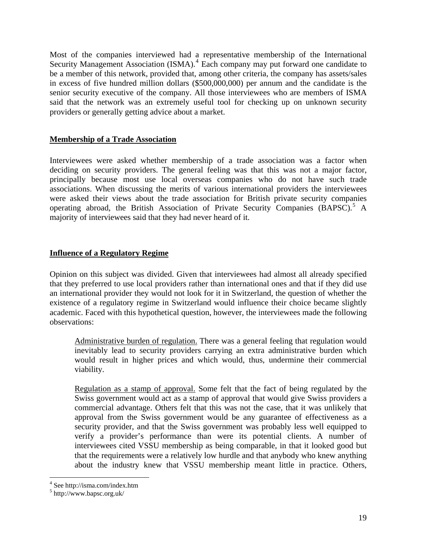<span id="page-18-0"></span>Most of the companies interviewed had a representative membership of the International Security Management Association (ISMA).<sup>[4](#page-18-1)</sup> Each company may put forward one candidate to be a member of this network, provided that, among other criteria, the company has assets/sales in excess of five hundred million dollars (\$500,000,000) per annum and the candidate is the senior security executive of the company. All those interviewees who are members of ISMA said that the network was an extremely useful tool for checking up on unknown security providers or generally getting advice about a market.

#### **Membership of a Trade Association**

Interviewees were asked whether membership of a trade association was a factor when deciding on security providers. The general feeling was that this was not a major factor, principally because most use local overseas companies who do not have such trade associations. When discussing the merits of various international providers the interviewees were asked their views about the trade association for British private security companies operating abroad, the British Association of Private Security Companies (BAPSC).<sup>[5](#page-18-2)</sup> A majority of interviewees said that they had never heard of it.

## **Influence of a Regulatory Regime**

Opinion on this subject was divided. Given that interviewees had almost all already specified that they preferred to use local providers rather than international ones and that if they did use an international provider they would not look for it in Switzerland, the question of whether the existence of a regulatory regime in Switzerland would influence their choice became slightly academic. Faced with this hypothetical question, however, the interviewees made the following observations:

Administrative burden of regulation. There was a general feeling that regulation would inevitably lead to security providers carrying an extra administrative burden which would result in higher prices and which would, thus, undermine their commercial viability.

Regulation as a stamp of approval. Some felt that the fact of being regulated by the Swiss government would act as a stamp of approval that would give Swiss providers a commercial advantage. Others felt that this was not the case, that it was unlikely that approval from the Swiss government would be any guarantee of effectiveness as a security provider, and that the Swiss government was probably less well equipped to verify a provider's performance than were its potential clients. A number of interviewees cited VSSU membership as being comparable, in that it looked good but that the requirements were a relatively low hurdle and that anybody who knew anything about the industry knew that VSSU membership meant little in practice. Others,

 $\overline{a}$ 

<span id="page-18-1"></span><sup>4</sup> See http://isma.com/index.htm

<span id="page-18-2"></span><sup>5</sup> http://www.bapsc.org.uk/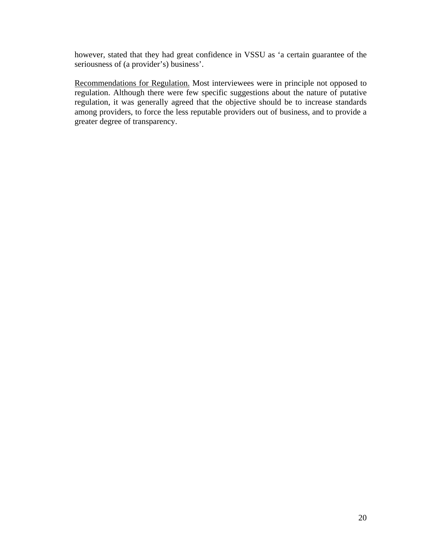however, stated that they had great confidence in VSSU as 'a certain guarantee of the seriousness of (a provider's) business'.

Recommendations for Regulation. Most interviewees were in principle not opposed to regulation. Although there were few specific suggestions about the nature of putative regulation, it was generally agreed that the objective should be to increase standards among providers, to force the less reputable providers out of business, and to provide a greater degree of transparency.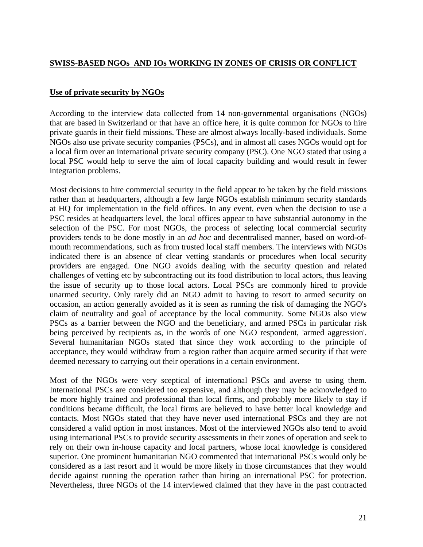## <span id="page-20-0"></span>**SWISS-BASED NGOs AND IOs WORKING IN ZONES OF CRISIS OR CONFLICT**

#### **Use of private security by NGOs**

According to the interview data collected from 14 non-governmental organisations (NGOs) that are based in Switzerland or that have an office here, it is quite common for NGOs to hire private guards in their field missions. These are almost always locally-based individuals. Some NGOs also use private security companies (PSCs), and in almost all cases NGOs would opt for a local firm over an international private security company (PSC). One NGO stated that using a local PSC would help to serve the aim of local capacity building and would result in fewer integration problems.

Most decisions to hire commercial security in the field appear to be taken by the field missions rather than at headquarters, although a few large NGOs establish minimum security standards at HQ for implementation in the field offices. In any event, even when the decision to use a PSC resides at headquarters level, the local offices appear to have substantial autonomy in the selection of the PSC. For most NGOs, the process of selecting local commercial security providers tends to be done mostly in an *ad hoc* and decentralised manner, based on word-ofmouth recommendations, such as from trusted local staff members. The interviews with NGOs indicated there is an absence of clear vetting standards or procedures when local security providers are engaged. One NGO avoids dealing with the security question and related challenges of vetting etc by subcontracting out its food distribution to local actors, thus leaving the issue of security up to those local actors. Local PSCs are commonly hired to provide unarmed security. Only rarely did an NGO admit to having to resort to armed security on occasion, an action generally avoided as it is seen as running the risk of damaging the NGO's claim of neutrality and goal of acceptance by the local community. Some NGOs also view PSCs as a barrier between the NGO and the beneficiary, and armed PSCs in particular risk being perceived by recipients as, in the words of one NGO respondent, 'armed aggression'. Several humanitarian NGOs stated that since they work according to the principle of acceptance, they would withdraw from a region rather than acquire armed security if that were deemed necessary to carrying out their operations in a certain environment.

Most of the NGOs were very sceptical of international PSCs and averse to using them. International PSCs are considered too expensive, and although they may be acknowledged to be more highly trained and professional than local firms, and probably more likely to stay if conditions became difficult, the local firms are believed to have better local knowledge and contacts. Most NGOs stated that they have never used international PSCs and they are not considered a valid option in most instances. Most of the interviewed NGOs also tend to avoid using international PSCs to provide security assessments in their zones of operation and seek to rely on their own in-house capacity and local partners, whose local knowledge is considered superior. One prominent humanitarian NGO commented that international PSCs would only be considered as a last resort and it would be more likely in those circumstances that they would decide against running the operation rather than hiring an international PSC for protection. Nevertheless, three NGOs of the 14 interviewed claimed that they have in the past contracted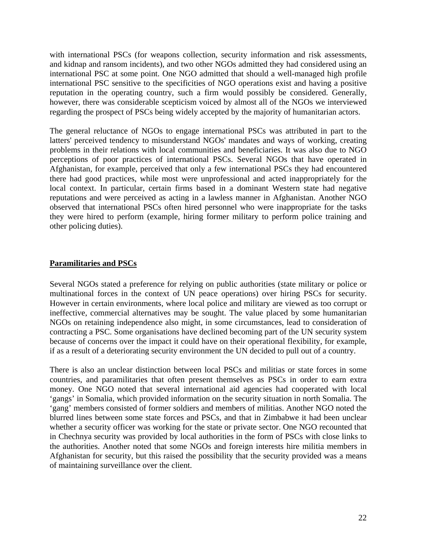<span id="page-21-0"></span>with international PSCs (for weapons collection, security information and risk assessments, and kidnap and ransom incidents), and two other NGOs admitted they had considered using an international PSC at some point. One NGO admitted that should a well-managed high profile international PSC sensitive to the specificities of NGO operations exist and having a positive reputation in the operating country, such a firm would possibly be considered. Generally, however, there was considerable scepticism voiced by almost all of the NGOs we interviewed regarding the prospect of PSCs being widely accepted by the majority of humanitarian actors.

The general reluctance of NGOs to engage international PSCs was attributed in part to the latters' perceived tendency to misunderstand NGOs' mandates and ways of working, creating problems in their relations with local communities and beneficiaries. It was also due to NGO perceptions of poor practices of international PSCs. Several NGOs that have operated in Afghanistan, for example, perceived that only a few international PSCs they had encountered there had good practices, while most were unprofessional and acted inappropriately for the local context. In particular, certain firms based in a dominant Western state had negative reputations and were perceived as acting in a lawless manner in Afghanistan. Another NGO observed that international PSCs often hired personnel who were inappropriate for the tasks they were hired to perform (example, hiring former military to perform police training and other policing duties).

#### **Paramilitaries and PSCs**

Several NGOs stated a preference for relying on public authorities (state military or police or multinational forces in the context of UN peace operations) over hiring PSCs for security. However in certain environments, where local police and military are viewed as too corrupt or ineffective, commercial alternatives may be sought. The value placed by some humanitarian NGOs on retaining independence also might, in some circumstances, lead to consideration of contracting a PSC. Some organisations have declined becoming part of the UN security system because of concerns over the impact it could have on their operational flexibility, for example, if as a result of a deteriorating security environment the UN decided to pull out of a country.

There is also an unclear distinction between local PSCs and militias or state forces in some countries, and paramilitaries that often present themselves as PSCs in order to earn extra money. One NGO noted that several international aid agencies had cooperated with local 'gangs' in Somalia, which provided information on the security situation in north Somalia. The 'gang' members consisted of former soldiers and members of militias. Another NGO noted the blurred lines between some state forces and PSCs, and that in Zimbabwe it had been unclear whether a security officer was working for the state or private sector. One NGO recounted that in Chechnya security was provided by local authorities in the form of PSCs with close links to the authorities. Another noted that some NGOs and foreign interests hire militia members in Afghanistan for security, but this raised the possibility that the security provided was a means of maintaining surveillance over the client.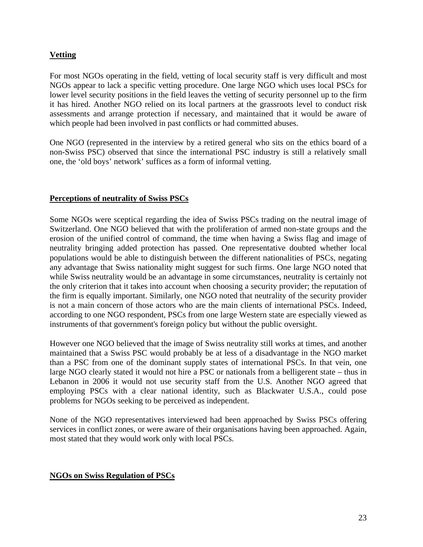# <span id="page-22-0"></span>**Vetting**

For most NGOs operating in the field, vetting of local security staff is very difficult and most NGOs appear to lack a specific vetting procedure. One large NGO which uses local PSCs for lower level security positions in the field leaves the vetting of security personnel up to the firm it has hired. Another NGO relied on its local partners at the grassroots level to conduct risk assessments and arrange protection if necessary, and maintained that it would be aware of which people had been involved in past conflicts or had committed abuses.

One NGO (represented in the interview by a retired general who sits on the ethics board of a non-Swiss PSC) observed that since the international PSC industry is still a relatively small one, the 'old boys' network' suffices as a form of informal vetting.

## **Perceptions of neutrality of Swiss PSCs**

Some NGOs were sceptical regarding the idea of Swiss PSCs trading on the neutral image of Switzerland. One NGO believed that with the proliferation of armed non-state groups and the erosion of the unified control of command, the time when having a Swiss flag and image of neutrality bringing added protection has passed. One representative doubted whether local populations would be able to distinguish between the different nationalities of PSCs, negating any advantage that Swiss nationality might suggest for such firms. One large NGO noted that while Swiss neutrality would be an advantage in some circumstances, neutrality is certainly not the only criterion that it takes into account when choosing a security provider; the reputation of the firm is equally important. Similarly, one NGO noted that neutrality of the security provider is not a main concern of those actors who are the main clients of international PSCs. Indeed, according to one NGO respondent, PSCs from one large Western state are especially viewed as instruments of that government's foreign policy but without the public oversight.

However one NGO believed that the image of Swiss neutrality still works at times, and another maintained that a Swiss PSC would probably be at less of a disadvantage in the NGO market than a PSC from one of the dominant supply states of international PSCs. In that vein, one large NGO clearly stated it would not hire a PSC or nationals from a belligerent state – thus in Lebanon in 2006 it would not use security staff from the U.S. Another NGO agreed that employing PSCs with a clear national identity, such as Blackwater U.S.A., could pose problems for NGOs seeking to be perceived as independent.

None of the NGO representatives interviewed had been approached by Swiss PSCs offering services in conflict zones, or were aware of their organisations having been approached. Again, most stated that they would work only with local PSCs.

## **NGOs on Swiss Regulation of PSCs**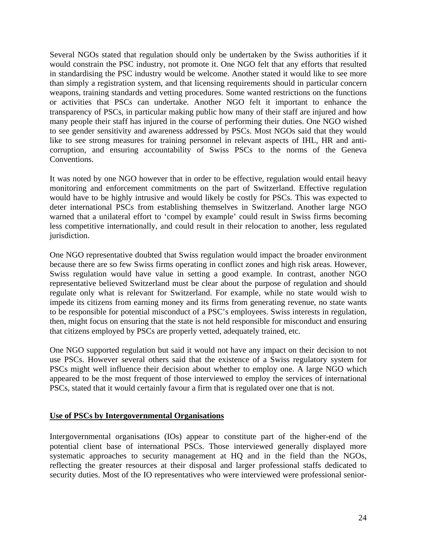<span id="page-23-0"></span>Several NGOs stated that regulation should only be undertaken by the Swiss authorities if it would constrain the PSC industry, not promote it. One NGO felt that any efforts that resulted in standardising the PSC industry would be welcome. Another stated it would like to see more than simply a registration system, and that licensing requirements should in particular concern weapons, training standards and vetting procedures. Some wanted restrictions on the functions or activities that PSCs can undertake. Another NGO felt it important to enhance the transparency of PSCs, in particular making public how many of their staff are injured and how many people their staff has injured in the course of performing their duties. One NGO wished to see gender sensitivity and awareness addressed by PSCs. Most NGOs said that they would like to see strong measures for training personnel in relevant aspects of IHL, HR and anticorruption, and ensuring accountability of Swiss PSCs to the norms of the Geneva Conventions.

It was noted by one NGO however that in order to be effective, regulation would entail heavy monitoring and enforcement commitments on the part of Switzerland. Effective regulation would have to be highly intrusive and would likely be costly for PSCs. This was expected to deter international PSCs from establishing themselves in Switzerland. Another large NGO warned that a unilateral effort to 'compel by example' could result in Swiss firms becoming less competitive internationally, and could result in their relocation to another, less regulated jurisdiction.

One NGO representative doubted that Swiss regulation would impact the broader environment because there are so few Swiss firms operating in conflict zones and high risk areas. However, Swiss regulation would have value in setting a good example. In contrast, another NGO representative believed Switzerland must be clear about the purpose of regulation and should regulate only what is relevant for Switzerland. For example, while no state would wish to impede its citizens from earning money and its firms from generating revenue, no state wants to be responsible for potential misconduct of a PSC's employees. Swiss interests in regulation, then, might focus on ensuring that the state is not held responsible for misconduct and ensuring that citizens employed by PSCs are properly vetted, adequately trained, etc.

One NGO supported regulation but said it would not have any impact on their decision to not use PSCs. However several others said that the existence of a Swiss regulatory system for PSCs might well influence their decision about whether to employ one. A large NGO which appeared to be the most frequent of those interviewed to employ the services of international PSCs, stated that it would certainly favour a firm that is regulated over one that is not.

#### **Use of PSCs by Intergovernmental Organisations**

Intergovernmental organisations (IOs) appear to constitute part of the higher-end of the potential client base of international PSCs. Those interviewed generally displayed more systematic approaches to security management at HQ and in the field than the NGOs, reflecting the greater resources at their disposal and larger professional staffs dedicated to security duties. Most of the IO representatives who were interviewed were professional senior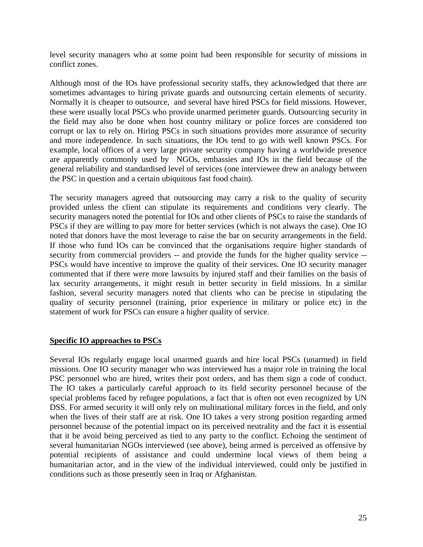level security managers who at some point had been responsible for security of missions in conflict zones.

Although most of the IOs have professional security staffs, they acknowledged that there are sometimes advantages to hiring private guards and outsourcing certain elements of security. Normally it is cheaper to outsource, and several have hired PSCs for field missions. However, these were usually local PSCs who provide unarmed perimeter guards. Outsourcing security in the field may also be done when host country military or police forces are considered too corrupt or lax to rely on. Hiring PSCs in such situations provides more assurance of security and more independence. In such situations, the IOs tend to go with well known PSCs. For example, local offices of a very large private security company having a worldwide presence are apparently commonly used by NGOs, embassies and IOs in the field because of the general reliability and standardised level of services (one interviewee drew an analogy between the PSC in question and a certain ubiquitous fast food chain).

The security managers agreed that outsourcing may carry a risk to the quality of security provided unless the client can stipulate its requirements and conditions very clearly. The security managers noted the potential for IOs and other clients of PSCs to raise the standards of PSCs if they are willing to pay more for better services (which is not always the case). One IO noted that donors have the most leverage to raise the bar on security arrangements in the field. If those who fund IOs can be convinced that the organisations require higher standards of security from commercial providers -- and provide the funds for the higher quality service -- PSCs would have incentive to improve the quality of their services. One IO security manager commented that if there were more lawsuits by injured staff and their families on the basis of lax security arrangements, it might result in better security in field missions. In a similar fashion, several security managers noted that clients who can be precise in stipulating the quality of security personnel (training, prior experience in military or police etc) in the statement of work for PSCs can ensure a higher quality of service.

#### **Specific IO approaches to PSCs**

Several IOs regularly engage local unarmed guards and hire local PSCs (unarmed) in field missions. One IO security manager who was interviewed has a major role in training the local PSC personnel who are hired, writes their post orders, and has them sign a code of conduct. The IO takes a particularly careful approach to its field security personnel because of the special problems faced by refugee populations, a fact that is often not even recognized by UN DSS. For armed security it will only rely on multinational military forces in the field, and only when the lives of their staff are at risk. One IO takes a very strong position regarding armed personnel because of the potential impact on its perceived neutrality and the fact it is essential that it be avoid being perceived as tied to any party to the conflict. Echoing the sentiment of several humanitarian NGOs interviewed (see above), being armed is perceived as offensive by potential recipients of assistance and could undermine local views of them being a humanitarian actor, and in the view of the individual interviewed, could only be justified in conditions such as those presently seen in Iraq or Afghanistan.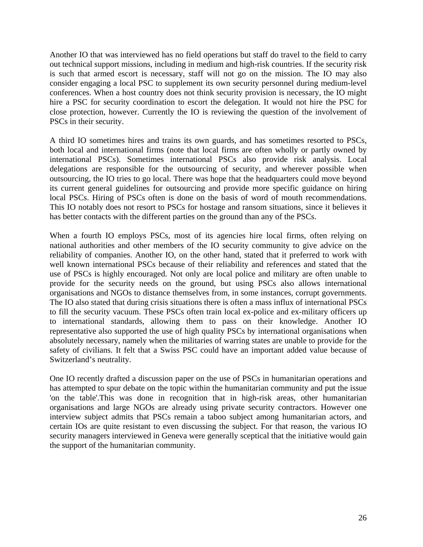Another IO that was interviewed has no field operations but staff do travel to the field to carry out technical support missions, including in medium and high-risk countries. If the security risk is such that armed escort is necessary, staff will not go on the mission. The IO may also consider engaging a local PSC to supplement its own security personnel during medium-level conferences. When a host country does not think security provision is necessary, the IO might hire a PSC for security coordination to escort the delegation. It would not hire the PSC for close protection, however. Currently the IO is reviewing the question of the involvement of PSCs in their security.

A third IO sometimes hires and trains its own guards, and has sometimes resorted to PSCs, both local and international firms (note that local firms are often wholly or partly owned by international PSCs). Sometimes international PSCs also provide risk analysis. Local delegations are responsible for the outsourcing of security, and wherever possible when outsourcing, the IO tries to go local. There was hope that the headquarters could move beyond its current general guidelines for outsourcing and provide more specific guidance on hiring local PSCs. Hiring of PSCs often is done on the basis of word of mouth recommendations. This IO notably does not resort to PSCs for hostage and ransom situations, since it believes it has better contacts with the different parties on the ground than any of the PSCs.

When a fourth IO employs PSCs, most of its agencies hire local firms, often relying on national authorities and other members of the IO security community to give advice on the reliability of companies. Another IO, on the other hand, stated that it preferred to work with well known international PSCs because of their reliability and references and stated that the use of PSCs is highly encouraged. Not only are local police and military are often unable to provide for the security needs on the ground, but using PSCs also allows international organisations and NGOs to distance themselves from, in some instances, corrupt governments. The IO also stated that during crisis situations there is often a mass influx of international PSCs to fill the security vacuum. These PSCs often train local ex-police and ex-military officers up to international standards, allowing them to pass on their knowledge. Another IO representative also supported the use of high quality PSCs by international organisations when absolutely necessary, namely when the militaries of warring states are unable to provide for the safety of civilians. It felt that a Swiss PSC could have an important added value because of Switzerland's neutrality.

One IO recently drafted a discussion paper on the use of PSCs in humanitarian operations and has attempted to spur debate on the topic within the humanitarian community and put the issue 'on the table'.This was done in recognition that in high-risk areas, other humanitarian organisations and large NGOs are already using private security contractors. However one interview subject admits that PSCs remain a taboo subject among humanitarian actors, and certain IOs are quite resistant to even discussing the subject. For that reason, the various IO security managers interviewed in Geneva were generally sceptical that the initiative would gain the support of the humanitarian community.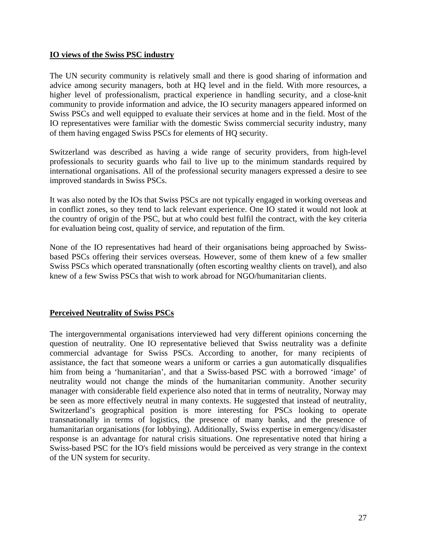## <span id="page-26-0"></span>**IO views of the Swiss PSC industry**

The UN security community is relatively small and there is good sharing of information and advice among security managers, both at HQ level and in the field. With more resources, a higher level of professionalism, practical experience in handling security, and a close-knit community to provide information and advice, the IO security managers appeared informed on Swiss PSCs and well equipped to evaluate their services at home and in the field. Most of the IO representatives were familiar with the domestic Swiss commercial security industry, many of them having engaged Swiss PSCs for elements of HQ security.

Switzerland was described as having a wide range of security providers, from high-level professionals to security guards who fail to live up to the minimum standards required by international organisations. All of the professional security managers expressed a desire to see improved standards in Swiss PSCs.

It was also noted by the IOs that Swiss PSCs are not typically engaged in working overseas and in conflict zones, so they tend to lack relevant experience. One IO stated it would not look at the country of origin of the PSC, but at who could best fulfil the contract, with the key criteria for evaluation being cost, quality of service, and reputation of the firm.

None of the IO representatives had heard of their organisations being approached by Swissbased PSCs offering their services overseas. However, some of them knew of a few smaller Swiss PSCs which operated transnationally (often escorting wealthy clients on travel), and also knew of a few Swiss PSCs that wish to work abroad for NGO/humanitarian clients.

## **Perceived Neutrality of Swiss PSCs**

The intergovernmental organisations interviewed had very different opinions concerning the question of neutrality. One IO representative believed that Swiss neutrality was a definite commercial advantage for Swiss PSCs. According to another, for many recipients of assistance, the fact that someone wears a uniform or carries a gun automatically disqualifies him from being a 'humanitarian', and that a Swiss-based PSC with a borrowed 'image' of neutrality would not change the minds of the humanitarian community. Another security manager with considerable field experience also noted that in terms of neutrality, Norway may be seen as more effectively neutral in many contexts. He suggested that instead of neutrality, Switzerland's geographical position is more interesting for PSCs looking to operate transnationally in terms of logistics, the presence of many banks, and the presence of humanitarian organisations (for lobbying). Additionally, Swiss expertise in emergency/disaster response is an advantage for natural crisis situations. One representative noted that hiring a Swiss-based PSC for the IO's field missions would be perceived as very strange in the context of the UN system for security.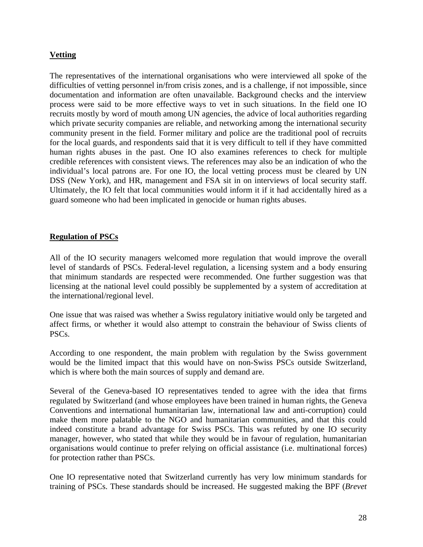## <span id="page-27-0"></span>**Vetting**

The representatives of the international organisations who were interviewed all spoke of the difficulties of vetting personnel in/from crisis zones, and is a challenge, if not impossible, since documentation and information are often unavailable. Background checks and the interview process were said to be more effective ways to vet in such situations. In the field one IO recruits mostly by word of mouth among UN agencies, the advice of local authorities regarding which private security companies are reliable, and networking among the international security community present in the field. Former military and police are the traditional pool of recruits for the local guards, and respondents said that it is very difficult to tell if they have committed human rights abuses in the past. One IO also examines references to check for multiple credible references with consistent views. The references may also be an indication of who the individual's local patrons are. For one IO, the local vetting process must be cleared by UN DSS (New York), and HR, management and FSA sit in on interviews of local security staff. Ultimately, the IO felt that local communities would inform it if it had accidentally hired as a guard someone who had been implicated in genocide or human rights abuses.

## **Regulation of PSCs**

All of the IO security managers welcomed more regulation that would improve the overall level of standards of PSCs. Federal-level regulation, a licensing system and a body ensuring that minimum standards are respected were recommended. One further suggestion was that licensing at the national level could possibly be supplemented by a system of accreditation at the international/regional level.

One issue that was raised was whether a Swiss regulatory initiative would only be targeted and affect firms, or whether it would also attempt to constrain the behaviour of Swiss clients of PSCs.

According to one respondent, the main problem with regulation by the Swiss government would be the limited impact that this would have on non-Swiss PSCs outside Switzerland, which is where both the main sources of supply and demand are.

Several of the Geneva-based IO representatives tended to agree with the idea that firms regulated by Switzerland (and whose employees have been trained in human rights, the Geneva Conventions and international humanitarian law, international law and anti-corruption) could make them more palatable to the NGO and humanitarian communities, and that this could indeed constitute a brand advantage for Swiss PSCs. This was refuted by one IO security manager, however, who stated that while they would be in favour of regulation, humanitarian organisations would continue to prefer relying on official assistance (i.e. multinational forces) for protection rather than PSCs.

One IO representative noted that Switzerland currently has very low minimum standards for training of PSCs. These standards should be increased. He suggested making the BPF (*Brevet*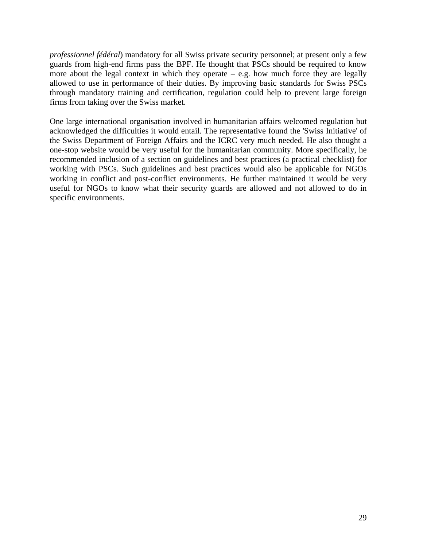*professionnel fédéral*) mandatory for all Swiss private security personnel; at present only a few guards from high-end firms pass the BPF. He thought that PSCs should be required to know more about the legal context in which they operate  $-$  e.g. how much force they are legally allowed to use in performance of their duties. By improving basic standards for Swiss PSCs through mandatory training and certification, regulation could help to prevent large foreign firms from taking over the Swiss market.

One large international organisation involved in humanitarian affairs welcomed regulation but acknowledged the difficulties it would entail. The representative found the 'Swiss Initiative' of the Swiss Department of Foreign Affairs and the ICRC very much needed. He also thought a one-stop website would be very useful for the humanitarian community. More specifically, he recommended inclusion of a section on guidelines and best practices (a practical checklist) for working with PSCs. Such guidelines and best practices would also be applicable for NGOs working in conflict and post-conflict environments. He further maintained it would be very useful for NGOs to know what their security guards are allowed and not allowed to do in specific environments.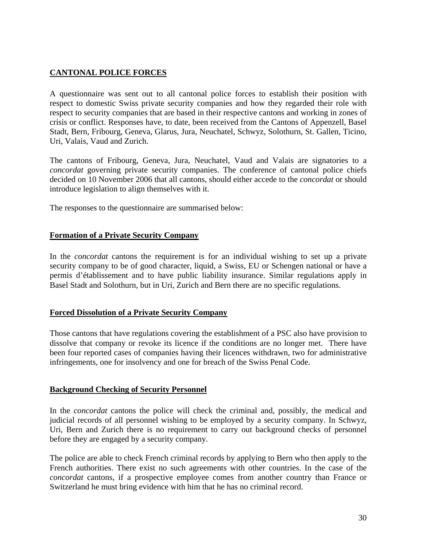# <span id="page-29-0"></span>**CANTONAL POLICE FORCES**

A questionnaire was sent out to all cantonal police forces to establish their position with respect to domestic Swiss private security companies and how they regarded their role with respect to security companies that are based in their respective cantons and working in zones of crisis or conflict. Responses have, to date, been received from the Cantons of Appenzell, Basel Stadt, Bern, Fribourg, Geneva, Glarus, Jura, Neuchatel, Schwyz, Solothurn, St. Gallen, Ticino, Uri, Valais, Vaud and Zurich.

The cantons of Fribourg, Geneva, Jura, Neuchatel, Vaud and Valais are signatories to a *concordat* governing private security companies. The conference of cantonal police chiefs decided on 10 November 2006 that all cantons, should either accede to the *concordat* or should introduce legislation to align themselves with it.

The responses to the questionnaire are summarised below:

## **Formation of a Private Security Company**

In the *concordat* cantons the requirement is for an individual wishing to set up a private security company to be of good character, liquid, a Swiss, EU or Schengen national or have a permis d'établissement and to have public liability insurance. Similar regulations apply in Basel Stadt and Solothurn, but in Uri, Zurich and Bern there are no specific regulations.

## **Forced Dissolution of a Private Security Company**

Those cantons that have regulations covering the establishment of a PSC also have provision to dissolve that company or revoke its licence if the conditions are no longer met. There have been four reported cases of companies having their licences withdrawn, two for administrative infringements, one for insolvency and one for breach of the Swiss Penal Code.

## **Background Checking of Security Personnel**

In the *concordat* cantons the police will check the criminal and, possibly, the medical and judicial records of all personnel wishing to be employed by a security company. In Schwyz, Uri, Bern and Zurich there is no requirement to carry out background checks of personnel before they are engaged by a security company.

The police are able to check French criminal records by applying to Bern who then apply to the French authorities. There exist no such agreements with other countries. In the case of the *concordat* cantons, if a prospective employee comes from another country than France or Switzerland he must bring evidence with him that he has no criminal record.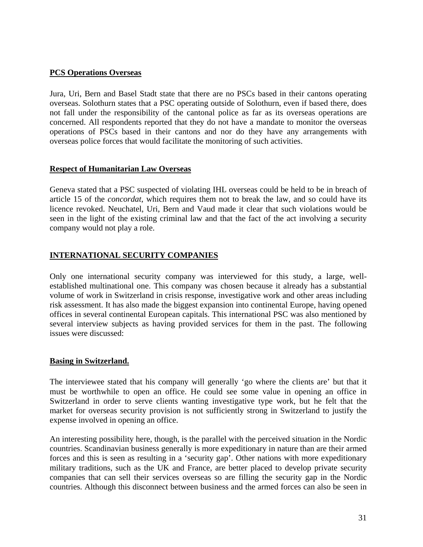## <span id="page-30-0"></span>**PCS Operations Overseas**

Jura, Uri, Bern and Basel Stadt state that there are no PSCs based in their cantons operating overseas. Solothurn states that a PSC operating outside of Solothurn, even if based there, does not fall under the responsibility of the cantonal police as far as its overseas operations are concerned. All respondents reported that they do not have a mandate to monitor the overseas operations of PSCs based in their cantons and nor do they have any arrangements with overseas police forces that would facilitate the monitoring of such activities.

## **Respect of Humanitarian Law Overseas**

Geneva stated that a PSC suspected of violating IHL overseas could be held to be in breach of article 15 of the *concordat*, which requires them not to break the law, and so could have its licence revoked. Neuchatel, Uri, Bern and Vaud made it clear that such violations would be seen in the light of the existing criminal law and that the fact of the act involving a security company would not play a role.

## **INTERNATIONAL SECURITY COMPANIES**

Only one international security company was interviewed for this study, a large, wellestablished multinational one. This company was chosen because it already has a substantial volume of work in Switzerland in crisis response, investigative work and other areas including risk assessment. It has also made the biggest expansion into continental Europe, having opened offices in several continental European capitals. This international PSC was also mentioned by several interview subjects as having provided services for them in the past. The following issues were discussed:

#### **Basing in Switzerland.**

The interviewee stated that his company will generally 'go where the clients are' but that it must be worthwhile to open an office. He could see some value in opening an office in Switzerland in order to serve clients wanting investigative type work, but he felt that the market for overseas security provision is not sufficiently strong in Switzerland to justify the expense involved in opening an office.

An interesting possibility here, though, is the parallel with the perceived situation in the Nordic countries. Scandinavian business generally is more expeditionary in nature than are their armed forces and this is seen as resulting in a 'security gap'. Other nations with more expeditionary military traditions, such as the UK and France, are better placed to develop private security companies that can sell their services overseas so are filling the security gap in the Nordic countries. Although this disconnect between business and the armed forces can also be seen in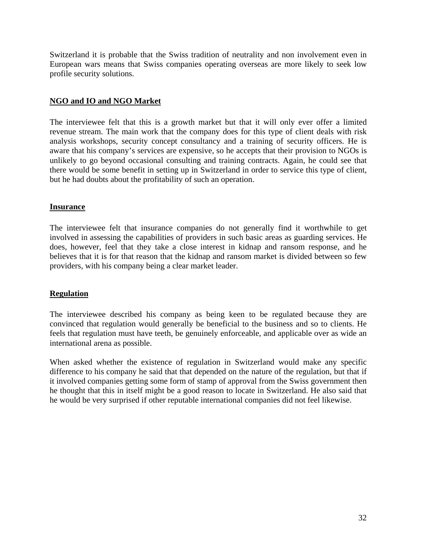<span id="page-31-0"></span>Switzerland it is probable that the Swiss tradition of neutrality and non involvement even in European wars means that Swiss companies operating overseas are more likely to seek low profile security solutions.

## **NGO and IO and NGO Market**

The interviewee felt that this is a growth market but that it will only ever offer a limited revenue stream. The main work that the company does for this type of client deals with risk analysis workshops, security concept consultancy and a training of security officers. He is aware that his company's services are expensive, so he accepts that their provision to NGOs is unlikely to go beyond occasional consulting and training contracts. Again, he could see that there would be some benefit in setting up in Switzerland in order to service this type of client, but he had doubts about the profitability of such an operation.

## **Insurance**

The interviewee felt that insurance companies do not generally find it worthwhile to get involved in assessing the capabilities of providers in such basic areas as guarding services. He does, however, feel that they take a close interest in kidnap and ransom response, and he believes that it is for that reason that the kidnap and ransom market is divided between so few providers, with his company being a clear market leader.

## **Regulation**

The interviewee described his company as being keen to be regulated because they are convinced that regulation would generally be beneficial to the business and so to clients. He feels that regulation must have teeth, be genuinely enforceable, and applicable over as wide an international arena as possible.

When asked whether the existence of regulation in Switzerland would make any specific difference to his company he said that that depended on the nature of the regulation, but that if it involved companies getting some form of stamp of approval from the Swiss government then he thought that this in itself might be a good reason to locate in Switzerland. He also said that he would be very surprised if other reputable international companies did not feel likewise.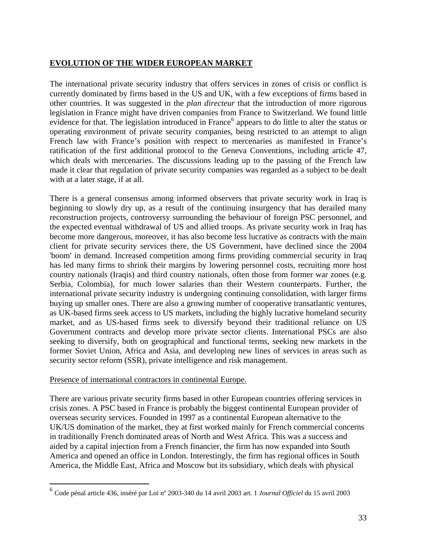## <span id="page-32-0"></span>**EVOLUTION OF THE WIDER EUROPEAN MARKET**

The international private security industry that offers services in zones of crisis or conflict is currently dominated by firms based in the US and UK, with a few exceptions of firms based in other countries. It was suggested in the *plan directeur* that the introduction of more rigorous legislation in France might have driven companies from France to Switzerland. We found little evidence for that. The legislation introduced in France<sup>[6](#page-32-1)</sup> appears to do little to alter the status or operating environment of private security companies, being restricted to an attempt to align French law with France's position with respect to mercenaries as manifested in France's ratification of the first additional protocol to the Geneva Conventions, including article 47, which deals with mercenaries. The discussions leading up to the passing of the French law made it clear that regulation of private security companies was regarded as a subject to be dealt with at a later stage, if at all.

There is a general consensus among informed observers that private security work in Iraq is beginning to slowly dry up, as a result of the continuing insurgency that has derailed many reconstruction projects, controversy surrounding the behaviour of foreign PSC personnel, and the expected eventual withdrawal of US and allied troops. As private security work in Iraq has become more dangerous, moreover, it has also become less lucrative as contracts with the main client for private security services there, the US Government, have declined since the 2004 'boom' in demand. Increased competition among firms providing commercial security in Iraq has led many firms to shrink their margins by lowering personnel costs, recruiting more host country nationals (Iraqis) and third country nationals, often those from former war zones (e.g. Serbia, Colombia), for much lower salaries than their Western counterparts. Further, the international private security industry is undergoing continuing consolidation, with larger firms buying up smaller ones. There are also a growing number of cooperative transatlantic ventures, as UK-based firms seek access to US markets, including the highly lucrative homeland security market, and as US-based firms seek to diversify beyond their traditional reliance on US Government contracts and develop more private sector clients. International PSCs are also seeking to diversify, both on geographical and functional terms, seeking new markets in the former Soviet Union, Africa and Asia, and developing new lines of services in areas such as security sector reform (SSR), private intelligence and risk management.

#### Presence of international contractors in continental Europe.

 $\overline{a}$ 

There are various private security firms based in other European countries offering services in crisis zones. A PSC based in France is probably the biggest continental European provider of overseas security services. Founded in 1997 as a continental European alternative to the UK/US domination of the market, they at first worked mainly for French commercial concerns in traditionally French dominated areas of North and West Africa. This was a success and aided by a capital injection from a French financier, the firm has now expanded into South America and opened an office in London. Interestingly, the firm has regional offices in South America, the Middle East, Africa and Moscow but its subsidiary, which deals with physical

<span id="page-32-1"></span><sup>6</sup> Code pénal article 436, inséré par Loi nº 2003-340 du 14 avril 2003 art. 1 *Journal Officiel* du 15 avril 2003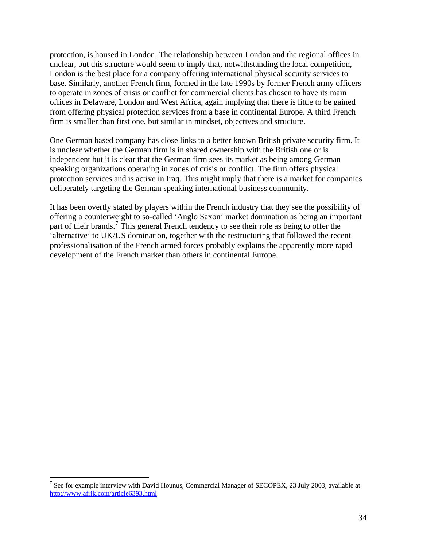protection, is housed in London. The relationship between London and the regional offices in unclear, but this structure would seem to imply that, notwithstanding the local competition, London is the best place for a company offering international physical security services to base. Similarly, another French firm, formed in the late 1990s by former French army officers to operate in zones of crisis or conflict for commercial clients has chosen to have its main offices in Delaware, London and West Africa, again implying that there is little to be gained from offering physical protection services from a base in continental Europe. A third French firm is smaller than first one, but similar in mindset, objectives and structure.

One German based company has close links to a better known British private security firm. It is unclear whether the German firm is in shared ownership with the British one or is independent but it is clear that the German firm sees its market as being among German speaking organizations operating in zones of crisis or conflict. The firm offers physical protection services and is active in Iraq. This might imply that there is a market for companies deliberately targeting the German speaking international business community.

It has been overtly stated by players within the French industry that they see the possibility of offering a counterweight to so-called 'Anglo Saxon' market domination as being an important part of their brands.<sup>[7](#page-33-0)</sup> This general French tendency to see their role as being to offer the 'alternative' to UK/US domination, together with the restructuring that followed the recent professionalisation of the French armed forces probably explains the apparently more rapid development of the French market than others in continental Europe.

 $\overline{a}$ 

<span id="page-33-0"></span><sup>&</sup>lt;sup>7</sup> See for example interview with David Hounus, Commercial Manager of SECOPEX, 23 July 2003, available at <http://www.afrik.com/article6393.html>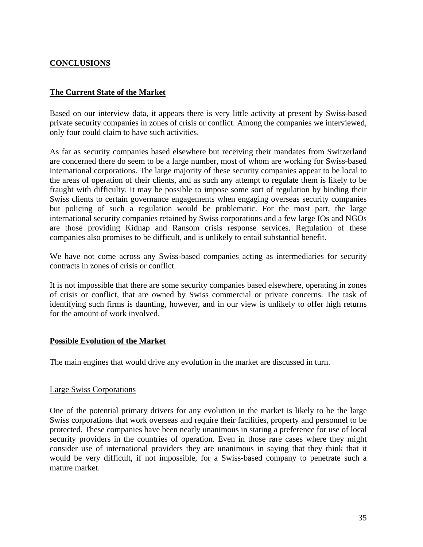# <span id="page-34-0"></span>**CONCLUSIONS**

## **The Current State of the Market**

Based on our interview data, it appears there is very little activity at present by Swiss-based private security companies in zones of crisis or conflict. Among the companies we interviewed, only four could claim to have such activities.

As far as security companies based elsewhere but receiving their mandates from Switzerland are concerned there do seem to be a large number, most of whom are working for Swiss-based international corporations. The large majority of these security companies appear to be local to the areas of operation of their clients, and as such any attempt to regulate them is likely to be fraught with difficulty. It may be possible to impose some sort of regulation by binding their Swiss clients to certain governance engagements when engaging overseas security companies but policing of such a regulation would be problematic. For the most part, the large international security companies retained by Swiss corporations and a few large IOs and NGOs are those providing Kidnap and Ransom crisis response services. Regulation of these companies also promises to be difficult, and is unlikely to entail substantial benefit.

We have not come across any Swiss-based companies acting as intermediaries for security contracts in zones of crisis or conflict.

It is not impossible that there are some security companies based elsewhere, operating in zones of crisis or conflict, that are owned by Swiss commercial or private concerns. The task of identifying such firms is daunting, however, and in our view is unlikely to offer high returns for the amount of work involved.

#### **Possible Evolution of the Market**

The main engines that would drive any evolution in the market are discussed in turn.

#### Large Swiss Corporations

One of the potential primary drivers for any evolution in the market is likely to be the large Swiss corporations that work overseas and require their facilities, property and personnel to be protected. These companies have been nearly unanimous in stating a preference for use of local security providers in the countries of operation. Even in those rare cases where they might consider use of international providers they are unanimous in saying that they think that it would be very difficult, if not impossible, for a Swiss-based company to penetrate such a mature market.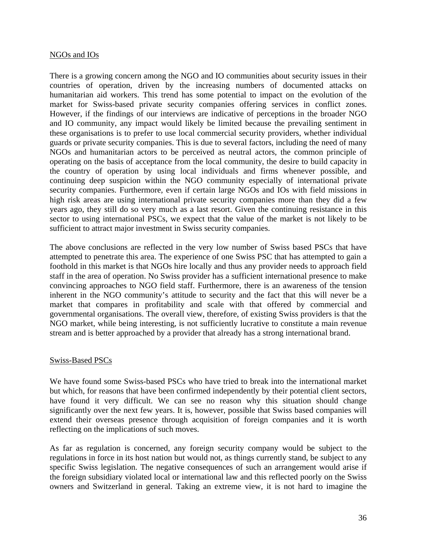#### <span id="page-35-0"></span>NGOs and IOs

There is a growing concern among the NGO and IO communities about security issues in their countries of operation, driven by the increasing numbers of documented attacks on humanitarian aid workers. This trend has some potential to impact on the evolution of the market for Swiss-based private security companies offering services in conflict zones. However, if the findings of our interviews are indicative of perceptions in the broader NGO and IO community, any impact would likely be limited because the prevailing sentiment in these organisations is to prefer to use local commercial security providers, whether individual guards or private security companies. This is due to several factors, including the need of many NGOs and humanitarian actors to be perceived as neutral actors, the common principle of operating on the basis of acceptance from the local community, the desire to build capacity in the country of operation by using local individuals and firms whenever possible, and continuing deep suspicion within the NGO community especially of international private security companies. Furthermore, even if certain large NGOs and IOs with field missions in high risk areas are using international private security companies more than they did a few years ago, they still do so very much as a last resort. Given the continuing resistance in this sector to using international PSCs, we expect that the value of the market is not likely to be sufficient to attract major investment in Swiss security companies.

The above conclusions are reflected in the very low number of Swiss based PSCs that have attempted to penetrate this area. The experience of one Swiss PSC that has attempted to gain a foothold in this market is that NGOs hire locally and thus any provider needs to approach field staff in the area of operation. No Swiss provider has a sufficient international presence to make convincing approaches to NGO field staff. Furthermore, there is an awareness of the tension inherent in the NGO community's attitude to security and the fact that this will never be a market that compares in profitability and scale with that offered by commercial and governmental organisations. The overall view, therefore, of existing Swiss providers is that the NGO market, while being interesting, is not sufficiently lucrative to constitute a main revenue stream and is better approached by a provider that already has a strong international brand.

#### Swiss-Based PSCs

We have found some Swiss-based PSCs who have tried to break into the international market but which, for reasons that have been confirmed independently by their potential client sectors, have found it very difficult. We can see no reason why this situation should change significantly over the next few years. It is, however, possible that Swiss based companies will extend their overseas presence through acquisition of foreign companies and it is worth reflecting on the implications of such moves.

As far as regulation is concerned, any foreign security company would be subject to the regulations in force in its host nation but would not, as things currently stand, be subject to any specific Swiss legislation. The negative consequences of such an arrangement would arise if the foreign subsidiary violated local or international law and this reflected poorly on the Swiss owners and Switzerland in general. Taking an extreme view, it is not hard to imagine the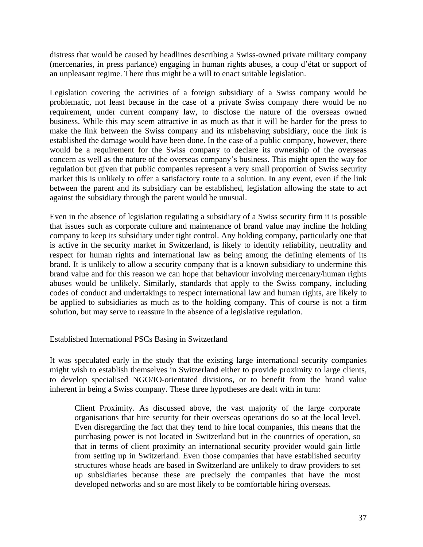<span id="page-36-0"></span>distress that would be caused by headlines describing a Swiss-owned private military company (mercenaries, in press parlance) engaging in human rights abuses, a coup d'état or support of an unpleasant regime. There thus might be a will to enact suitable legislation.

Legislation covering the activities of a foreign subsidiary of a Swiss company would be problematic, not least because in the case of a private Swiss company there would be no requirement, under current company law, to disclose the nature of the overseas owned business. While this may seem attractive in as much as that it will be harder for the press to make the link between the Swiss company and its misbehaving subsidiary, once the link is established the damage would have been done. In the case of a public company, however, there would be a requirement for the Swiss company to declare its ownership of the overseas concern as well as the nature of the overseas company's business. This might open the way for regulation but given that public companies represent a very small proportion of Swiss security market this is unlikely to offer a satisfactory route to a solution. In any event, even if the link between the parent and its subsidiary can be established, legislation allowing the state to act against the subsidiary through the parent would be unusual.

Even in the absence of legislation regulating a subsidiary of a Swiss security firm it is possible that issues such as corporate culture and maintenance of brand value may incline the holding company to keep its subsidiary under tight control. Any holding company, particularly one that is active in the security market in Switzerland, is likely to identify reliability, neutrality and respect for human rights and international law as being among the defining elements of its brand. It is unlikely to allow a security company that is a known subsidiary to undermine this brand value and for this reason we can hope that behaviour involving mercenary/human rights abuses would be unlikely. Similarly, standards that apply to the Swiss company, including codes of conduct and undertakings to respect international law and human rights, are likely to be applied to subsidiaries as much as to the holding company. This of course is not a firm solution, but may serve to reassure in the absence of a legislative regulation.

#### Established International PSCs Basing in Switzerland

It was speculated early in the study that the existing large international security companies might wish to establish themselves in Switzerland either to provide proximity to large clients, to develop specialised NGO/IO-orientated divisions, or to benefit from the brand value inherent in being a Swiss company. These three hypotheses are dealt with in turn:

Client Proximity. As discussed above, the vast majority of the large corporate organisations that hire security for their overseas operations do so at the local level. Even disregarding the fact that they tend to hire local companies, this means that the purchasing power is not located in Switzerland but in the countries of operation, so that in terms of client proximity an international security provider would gain little from setting up in Switzerland. Even those companies that have established security structures whose heads are based in Switzerland are unlikely to draw providers to set up subsidiaries because these are precisely the companies that have the most developed networks and so are most likely to be comfortable hiring overseas.